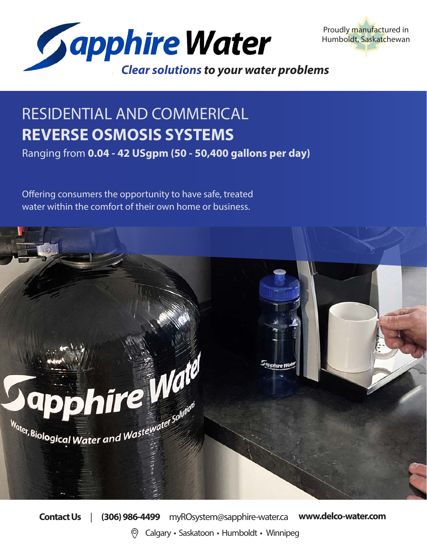



# RESIDENTIAL AND COMMERICAL **REVERSE OSMOSIS SYSTEMS**

Ranging from **0.04 - 42 USgpm (50 - 50,400 gallons per day)**

Offering consumers the opportunity to have safe, treated water within the comfort of their own home or business.



**Contact Us** | **(306) 986-4499** myROsystem@sapphire-water.ca **www.delco-water.com** Calgary • Saskatoon • Humboldt • Winnipeg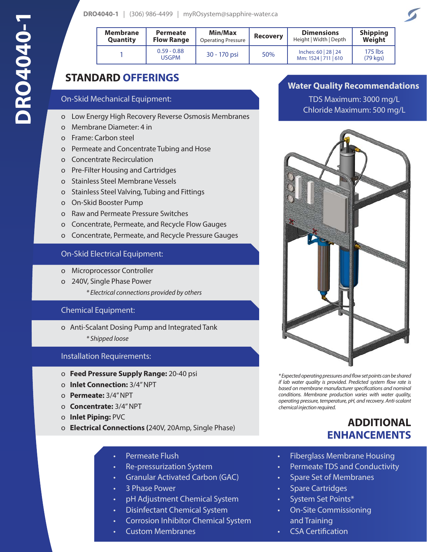| <b>Membrane</b><br><b>Quantity</b> | <b>Permeate</b><br><b>Flow Range</b> | Min/Max<br><b>Operating Pressure</b> | <b>Recovery</b> | <b>Dimensions</b><br>Height   Width   Depth  | <b>Shipping</b><br>Weight    |
|------------------------------------|--------------------------------------|--------------------------------------|-----------------|----------------------------------------------|------------------------------|
|                                    | $0.59 - 0.88$<br>USGPM               | 30 - 170 psi                         | 50%             | Inches: 60   28   24<br>Mm: 1524   711   610 | 175 lbs<br>$(79 \text{ kg})$ |

### **STANDARD OFFERINGS**

#### On-Skid Mechanical Equipment:

- o Low Energy High Recovery Reverse Osmosis Membranes
- o Membrane Diameter: 4 in
- o Frame: Carbon steel
- o Permeate and Concentrate Tubing and Hose
- o Concentrate Recirculation
- o Pre-Filter Housing and Cartridges
- o Stainless Steel Membrane Vessels
- o Stainless Steel Valving, Tubing and Fittings
- o On-Skid Booster Pump
- o Raw and Permeate Pressure Switches
- o Concentrate, Permeate, and Recycle Flow Gauges
- o Concentrate, Permeate, and Recycle Pressure Gauges

#### On-Skid Electrical Equipment:

- o Microprocessor Controller
- o 240V, Single Phase Power
	- *\* Electrical connections provided by others*

#### Chemical Equipment:

- o Anti-Scalant Dosing Pump and Integrated Tank
	- *\* Shipped loose*

#### Installation Requirements:

- o **Feed Pressure Supply Range:** 20-40 psi
- o **Inlet Connection:** 3/4" NPT
- o **Permeate:** 3/4" NPT
- o **Concentrate:** 3/4" NPT
- o **Inlet Piping:** PVC
- o **Electrical Connections (**240V, 20Amp, Single Phase)
	- Permeate Flush
	- Re-pressurization System
	- Granular Activated Carbon (GAC)
	- 3 Phase Power
	- pH Adjustment Chemical System
	- Disinfectant Chemical System
	- Corrosion Inhibitor Chemical System
	- Custom Membranes

### **Water Quality Recommendations**

TDS Maximum: 3000 mg/L Chloride Maximum: 500 mg/L



*\* Expected operating pressures and flow set points can be shared if lab water quality is provided. Predicted system flow rate is based on membrane manufacturer specifications and nominal conditions. Membrane production varies with water quality, operating pressure, temperature, pH, and recovery. Anti-scalant chemical injection required.* 

### **ADDITIONAL ENHANCEMENTS**

- Fiberglass Membrane Housing
- Permeate TDS and Conductivity
- Spare Set of Membranes
- Spare Cartridges
- System Set Points\*
- On-Site Commissioning and Training
- CSA Certification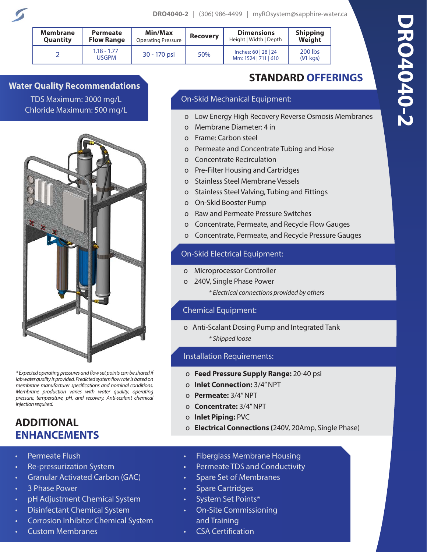| <b>Membrane</b> | Permeate                      | <b>Min/Max</b>            | <b>Recovery</b> | <b>Dimensions</b>                            | <b>Shipping</b>       |
|-----------------|-------------------------------|---------------------------|-----------------|----------------------------------------------|-----------------------|
| <b>Quantity</b> | <b>Flow Range</b>             | <b>Operating Pressure</b> |                 | Height   Width   Depth                       | Weight                |
|                 | $1.18 - 1.77$<br><b>USGPM</b> | 30 - 170 psi              | 50%             | Inches: 60   28   24<br>Mm: 1524   711   610 | 200 lbs<br>$(91$ kgs) |

**Water Quality Recommendations** TDS Maximum: 3000 mg/L Chloride Maximum: 500 mg/L



*\* Expected operating pressures and flow set points can be shared if lab water quality is provided. Predicted system flow rate is based on membrane manufacturer specifications and nominal conditions. Membrane production varies with water quality, operating pressure, temperature, pH, and recovery. Anti-scalant chemical injection required.* 

### **ADDITIONAL ENHANCEMENTS**

- Permeate Flush
- Re-pressurization System
- Granular Activated Carbon (GAC)
- 3 Phase Power
- pH Adjustment Chemical System
- Disinfectant Chemical System
- Corrosion Inhibitor Chemical System
- Custom Membranes

## **STANDARD OFFERINGS**

### On-Skid Mechanical Equipment:

- o Low Energy High Recovery Reverse Osmosis Membranes
- o Membrane Diameter: 4 in
- o Frame: Carbon steel
- o Permeate and Concentrate Tubing and Hose
- o Concentrate Recirculation
- o Pre-Filter Housing and Cartridges
- o Stainless Steel Membrane Vessels
- o Stainless Steel Valving, Tubing and Fittings
- o On-Skid Booster Pump
- o Raw and Permeate Pressure Switches
- o Concentrate, Permeate, and Recycle Flow Gauges
- o Concentrate, Permeate, and Recycle Pressure Gauges

### On-Skid Electrical Equipment:

- o Microprocessor Controller
- o 240V, Single Phase Power
	- *\* Electrical connections provided by others*

### Chemical Equipment:

o Anti-Scalant Dosing Pump and Integrated Tank

*\* Shipped loose*

### Installation Requirements:

- o **Feed Pressure Supply Range:** 20-40 psi
- o **Inlet Connection:** 3/4" NPT
- o **Permeate:** 3/4" NPT
- o **Concentrate:** 3/4" NPT
- o **Inlet Piping:** PVC
- o **Electrical Connections (**240V, 20Amp, Single Phase)
- Fiberglass Membrane Housing
- Permeate TDS and Conductivity
- Spare Set of Membranes
- Spare Cartridges
- System Set Points\*
- On-Site Commissioning and Training
- CSA Certification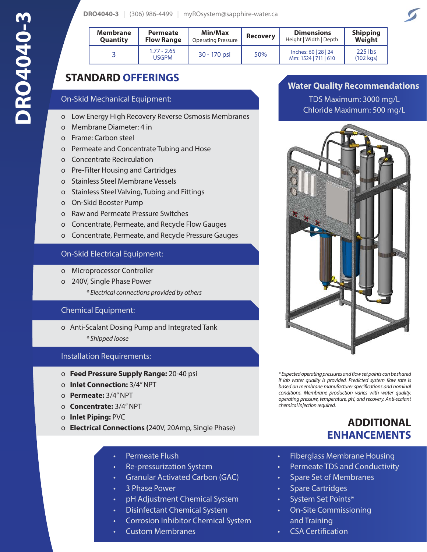|  |  | DRO4040-3   (306) 986-4499   myROsystem@sapphire-water.ca |
|--|--|-----------------------------------------------------------|
|--|--|-----------------------------------------------------------|

| <b>Membrane</b><br><b>Quantity</b> | <b>Permeate</b><br><b>Flow Range</b> | <b>Min/Max</b><br><b>Operating Pressure</b> | <b>Recovery</b> | <b>Dimensions</b><br>Height   Width   Depth  | <b>Shipping</b><br>Weight     |
|------------------------------------|--------------------------------------|---------------------------------------------|-----------------|----------------------------------------------|-------------------------------|
|                                    | $1.77 - 2.65$<br><b>USGPM</b>        | 30 - 170 psi                                | 50%             | Inches: 60   28   24<br>Mm: 1524   711   610 | 225 lbs<br>$(102 \text{ kg})$ |

### **STANDARD OFFERINGS**

#### On-Skid Mechanical Equipment:

- o Low Energy High Recovery Reverse Osmosis Membranes
- o Membrane Diameter: 4 in
- o Frame: Carbon steel
- o Permeate and Concentrate Tubing and Hose
- o Concentrate Recirculation
- o Pre-Filter Housing and Cartridges
- o Stainless Steel Membrane Vessels
- o Stainless Steel Valving, Tubing and Fittings
- o On-Skid Booster Pump
- o Raw and Permeate Pressure Switches
- o Concentrate, Permeate, and Recycle Flow Gauges
- o Concentrate, Permeate, and Recycle Pressure Gauges

#### On-Skid Electrical Equipment:

- o Microprocessor Controller
- o 240V, Single Phase Power
	- *\* Electrical connections provided by others*

### Chemical Equipment:

- o Anti-Scalant Dosing Pump and Integrated Tank
	- *\* Shipped loose*

### Installation Requirements:

- o **Feed Pressure Supply Range:** 20-40 psi
- o **Inlet Connection:** 3/4" NPT
- o **Permeate:** 3/4" NPT
- o **Concentrate:** 3/4" NPT
- o **Inlet Piping:** PVC
- o **Electrical Connections (**240V, 20Amp, Single Phase)
	- Permeate Flush
	- Re-pressurization System
	- Granular Activated Carbon (GAC)
	- 3 Phase Power
	- pH Adjustment Chemical System
	- Disinfectant Chemical System
	- Corrosion Inhibitor Chemical System
	- Custom Membranes

### **Water Quality Recommendations**

TDS Maximum: 3000 mg/L Chloride Maximum: 500 mg/L



*\* Expected operating pressures and flow set points can be shared if lab water quality is provided. Predicted system flow rate is based on membrane manufacturer specifications and nominal conditions. Membrane production varies with water quality, operating pressure, temperature, pH, and recovery. Anti-scalant chemical injection required.* 

### **ADDITIONAL ENHANCEMENTS**

- Fiberglass Membrane Housing
- Permeate TDS and Conductivity
- Spare Set of Membranes
- Spare Cartridges
- System Set Points\*
- On-Site Commissioning and Training
- CSA Certification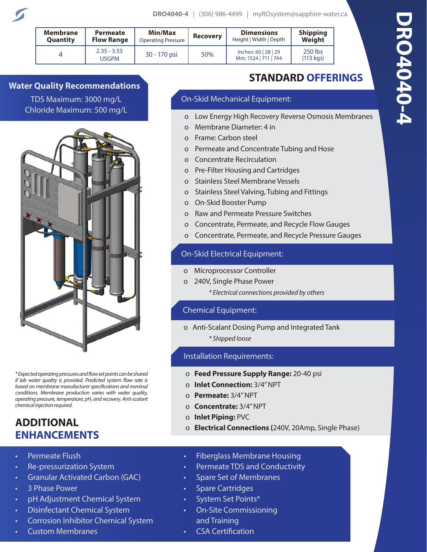| <b>Membrane</b> | <b>Permeate</b>               | Min/Max                   | <b>Recovery</b> | <b>Dimensions</b>                            | <b>Shipping</b>               |
|-----------------|-------------------------------|---------------------------|-----------------|----------------------------------------------|-------------------------------|
| Quantity        | <b>Flow Range</b>             | <b>Operating Pressure</b> |                 | Height   Width   Depth                       | Weight                        |
| 4               | $2.35 - 3.55$<br><b>USGPM</b> | 30 - 170 psi              | 50%             | Inches: 60   28   29<br>Mm: 1524   711   744 | 250 lbs<br>$(113 \text{ kg})$ |

**Water Quality Recommendations** TDS Maximum: 3000 mg/L Chloride Maximum: 500 mg/L



*\* Expected operating pressures and flow set points can be shared if lab water quality is provided. Predicted system flow rate is based on membrane manufacturer specifications and nominal conditions. Membrane production varies with water quality, operating pressure, temperature, pH, and recovery. Anti-scalant chemical injection required.* 

### **ADDITIONAL ENHANCEMENTS**

- Permeate Flush
- Re-pressurization System
- Granular Activated Carbon (GAC)
- 3 Phase Power
- pH Adjustment Chemical System
- Disinfectant Chemical System
- Corrosion Inhibitor Chemical System
- Custom Membranes

# **STANDARD OFFERINGS**

### On-Skid Mechanical Equipment:

- o Low Energy High Recovery Reverse Osmosis Membranes
- o Membrane Diameter: 4 in
- o Frame: Carbon steel
- o Permeate and Concentrate Tubing and Hose
- o Concentrate Recirculation
- o Pre-Filter Housing and Cartridges
- o Stainless Steel Membrane Vessels
- o Stainless Steel Valving, Tubing and Fittings
- o On-Skid Booster Pump
- o Raw and Permeate Pressure Switches
- o Concentrate, Permeate, and Recycle Flow Gauges
- o Concentrate, Permeate, and Recycle Pressure Gauges

### On-Skid Electrical Equipment:

- o Microprocessor Controller
- o 240V, Single Phase Power
	- *\* Electrical connections provided by others*

### Chemical Equipment:

o Anti-Scalant Dosing Pump and Integrated Tank

*\* Shipped loose*

### Installation Requirements:

- o **Feed Pressure Supply Range:** 20-40 psi
- o **Inlet Connection:** 3/4" NPT
- o **Permeate:** 3/4" NPT
- o **Concentrate:** 3/4" NPT
- o **Inlet Piping:** PVC
- o **Electrical Connections (**240V, 20Amp, Single Phase)
- Fiberglass Membrane Housing
- Permeate TDS and Conductivity
- Spare Set of Membranes
- Spare Cartridges
- System Set Points\*
- On-Site Commissioning and Training
- CSA Certification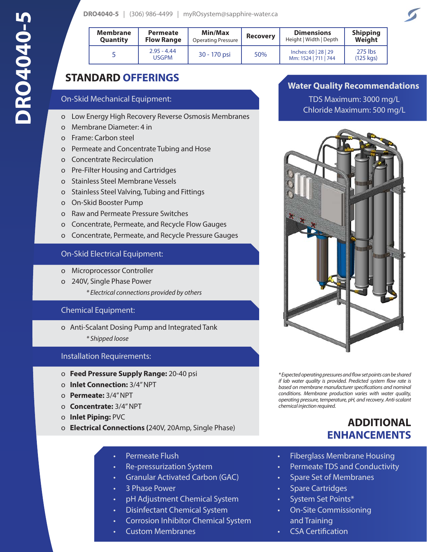| <b>DRO4040-5</b>   (306) 986-4499   myROsystem@sapphire-water.ca |  |  |
|------------------------------------------------------------------|--|--|
|------------------------------------------------------------------|--|--|

| <b>Membrane</b><br><b>Quantity</b> | <b>Permeate</b><br><b>Flow Range</b> | Min/Max<br><b>Operating Pressure</b> | <b>Recovery</b> | <b>Dimensions</b><br>Height   Width   Depth  | <b>Shipping</b><br>Weight     |
|------------------------------------|--------------------------------------|--------------------------------------|-----------------|----------------------------------------------|-------------------------------|
|                                    | $2.95 - 4.44$<br>USGPM               | 30 - 170 psi                         | 50%             | Inches: 60   28   29<br>Mm: 1524   711   744 | 275 lbs<br>$(125 \text{ kg})$ |

### **STANDARD OFFERINGS**

### On-Skid Mechanical Equipment:

- o Low Energy High Recovery Reverse Osmosis Membranes
- o Membrane Diameter: 4 in
- o Frame: Carbon steel
- o Permeate and Concentrate Tubing and Hose
- o Concentrate Recirculation
- o Pre-Filter Housing and Cartridges
- o Stainless Steel Membrane Vessels
- o Stainless Steel Valving, Tubing and Fittings
- o On-Skid Booster Pump
- o Raw and Permeate Pressure Switches
- o Concentrate, Permeate, and Recycle Flow Gauges
- o Concentrate, Permeate, and Recycle Pressure Gauges

### On-Skid Electrical Equipment:

- o Microprocessor Controller
- o 240V, Single Phase Power
	- *\* Electrical connections provided by others*

### Chemical Equipment:

- o Anti-Scalant Dosing Pump and Integrated Tank
	- *\* Shipped loose*

### Installation Requirements:

- o **Feed Pressure Supply Range:** 20-40 psi
- o **Inlet Connection:** 3/4" NPT
- o **Permeate:** 3/4" NPT
- o **Concentrate:** 3/4" NPT
- o **Inlet Piping:** PVC
- o **Electrical Connections (**240V, 20Amp, Single Phase)
	- Permeate Flush
	- Re-pressurization System
	- Granular Activated Carbon (GAC)
	- 3 Phase Power
	- pH Adjustment Chemical System
	- Disinfectant Chemical System
	- Corrosion Inhibitor Chemical System
	- Custom Membranes

### **Water Quality Recommendations**

TDS Maximum: 3000 mg/L Chloride Maximum: 500 mg/L



*\* Expected operating pressures and flow set points can be shared if lab water quality is provided. Predicted system flow rate is based on membrane manufacturer specifications and nominal conditions. Membrane production varies with water quality, operating pressure, temperature, pH, and recovery. Anti-scalant chemical injection required.* 

### **ADDITIONAL ENHANCEMENTS**

- Fiberglass Membrane Housing
- Permeate TDS and Conductivity
- Spare Set of Membranes
- Spare Cartridges
- System Set Points\*
- On-Site Commissioning and Training
- CSA Certification